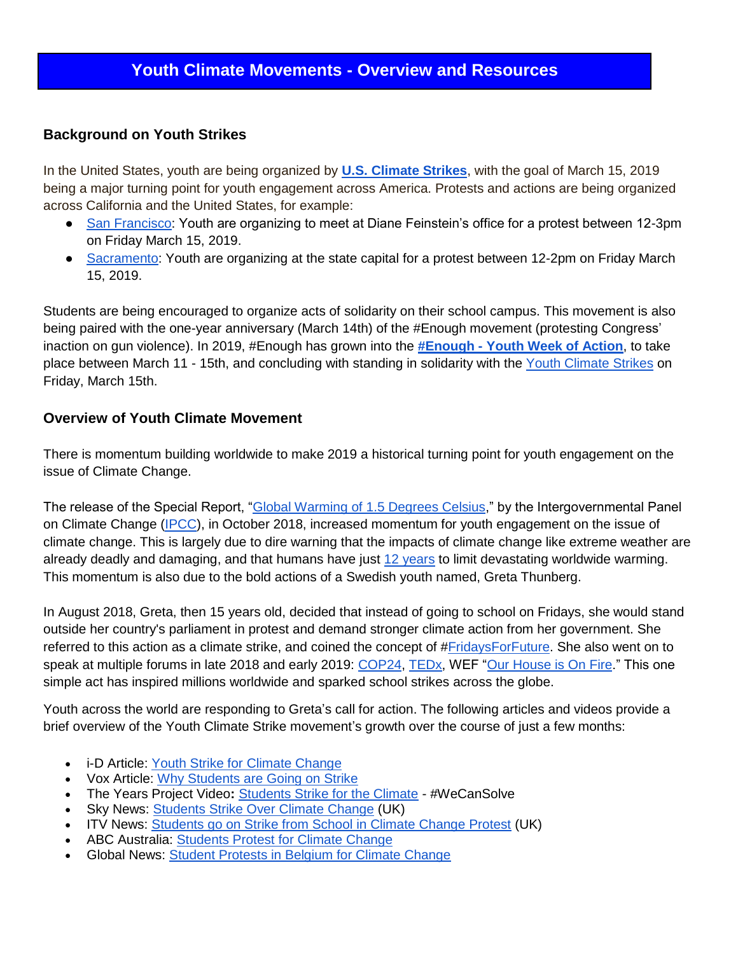## **Background on Youth Strikes**

In the United States, youth are being organized by **[U.S. Climate Strikes](https://www.youthclimatestrikeus.org/)**, with the goal of March 15, 2019 being a major turning point for youth engagement across America. Protests and actions are being organized across California and the United States, for example:

- [San Francisco:](https://www.facebook.com/events/325603661416753/) Youth are organizing to meet at Diane Feinstein's office for a protest between 12-3pm on Friday March 15, 2019.
- [Sacramento:](https://www.facebook.com/events/2262118517334088/) Youth are organizing at the state capital for a protest between 12-2pm on Friday March 15, 2019.

Students are being encouraged to organize acts of solidarity on their school campus. This movement is also being paired with the one-year anniversary (March 14th) of the #Enough movement (protesting Congress' inaction on gun violence). In 2019, #Enough has grown into the **#Enough - [Youth Week of Action](https://actionnetwork.org/event_campaigns/enough-youth-week-of-action)**, to take place between March 11 - 15th, and concluding with standing in solidarity with the [Youth Climate Strikes](https://www.youthclimatestrikeus.org/) on Friday, March 15th.

## **Overview of Youth Climate Movement**

There is momentum building worldwide to make 2019 a historical turning point for youth engagement on the issue of Climate Change.

The release of the Special Report, ["Global Warming of 1.5 Degrees Celsius,](https://www.ipcc.ch/sr15/)" by the Intergovernmental Panel on Climate Change [\(IPCC\)](https://www.ipcc.ch/), in October 2018, increased momentum for youth engagement on the issue of climate change. This is largely due to dire warning that the impacts of climate change like extreme weather are already deadly and damaging, and that humans have just [12 years](https://www.vox.com/2018/10/8/17948832/climate-change-global-warming-un-ipcc-report) to limit devastating worldwide warming. This momentum is also due to the bold actions of a Swedish youth named, Greta Thunberg.

In August 2018, Greta, then 15 years old, decided that instead of going to school on Fridays, she would stand outside her country's parliament in protest and demand stronger climate action from her government. She referred to this action as a climate strike, and coined the concept of [#FridaysForFuture.](https://www.fridaysforfuture.org/) She also went on to speak at multiple forums in late 2018 and early 2019: [COP24,](https://www.youtube.com/watch?v=VFkQSGyeCWg) [TEDx,](https://www.youtube.com/watch?v=EAmmUIEsN9A) WEF ["Our House is On Fire.](https://www.youtube.com/watch?v=zrF1THd4bUM&t=5s)" This one simple act has inspired millions worldwide and sparked school strikes across the globe.

Youth across the world are responding to Greta's call for action. The following articles and videos provide a brief overview of the Youth Climate Strike movement's growth over the course of just a few months:

- i-D Article: [Youth Strike for Climate Change](https://i-d.vice.com/en_us/article/kzdz7y/youth-strike-for-climate-change-greta-thunberg)
- Vox Article: [Why Students are Going on Strike](https://www.vox.com/2019/2/21/18233206/greta-thunberg-student-school-strike-climate-change)
- The Years Project Video**:** [Students Strike for the Climate](https://www.youtube.com/watch?v=s0lpEWIUwzs) #WeCanSolve
- Sky News: [Students Strike Over Climate Change](https://www.youtube.com/watch?v=8N196CwLVTI) (UK)
- ITV News: [Students go on Strike from School in Climate Change Protest](https://www.youtube.com/watch?v=9RaPE5fV_Xg) (UK)
- ABC Australia: [Students Protest for Climate Change](https://www.youtube.com/watch?v=pAVkPWQMNWY)
- Global News: [Student Protests in Belgium for Climate Change](https://www.youtube.com/watch?v=zFscJ9neIss)